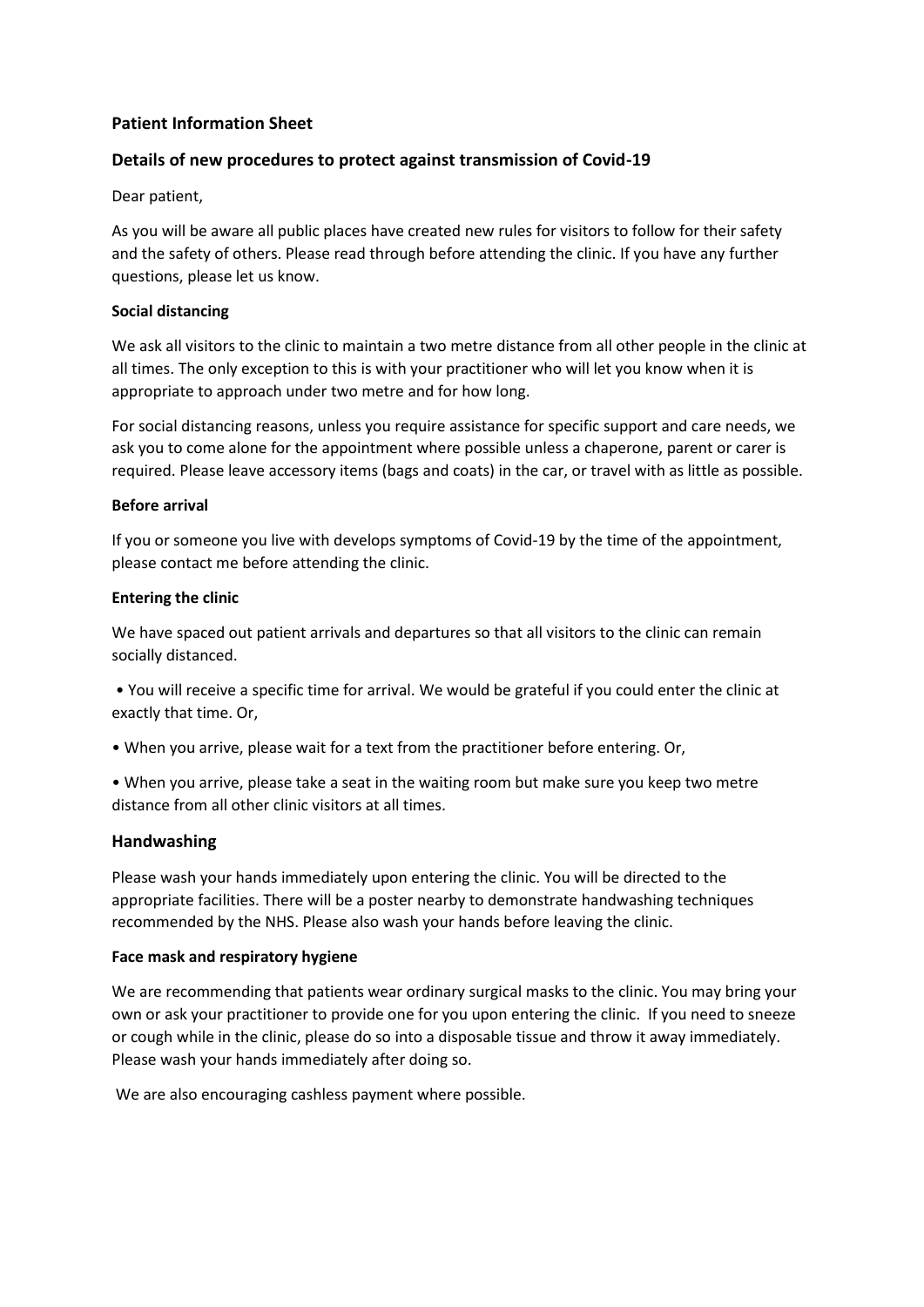# **Patient Information Sheet**

# **Details of new procedures to protect against transmission of Covid-19**

Dear patient,

As you will be aware all public places have created new rules for visitors to follow for their safety and the safety of others. Please read through before attending the clinic. If you have any further questions, please let us know.

### **Social distancing**

We ask all visitors to the clinic to maintain a two metre distance from all other people in the clinic at all times. The only exception to this is with your practitioner who will let you know when it is appropriate to approach under two metre and for how long.

For social distancing reasons, unless you require assistance for specific support and care needs, we ask you to come alone for the appointment where possible unless a chaperone, parent or carer is required. Please leave accessory items (bags and coats) in the car, or travel with as little as possible.

### **Before arrival**

If you or someone you live with develops symptoms of Covid-19 by the time of the appointment, please contact me before attending the clinic.

### **Entering the clinic**

We have spaced out patient arrivals and departures so that all visitors to the clinic can remain socially distanced.

• You will receive a specific time for arrival. We would be grateful if you could enter the clinic at exactly that time. Or,

- When you arrive, please wait for a text from the practitioner before entering. Or,
- When you arrive, please take a seat in the waiting room but make sure you keep two metre distance from all other clinic visitors at all times.

## **Handwashing**

Please wash your hands immediately upon entering the clinic. You will be directed to the appropriate facilities. There will be a poster nearby to demonstrate handwashing techniques recommended by the NHS. Please also wash your hands before leaving the clinic.

#### **Face mask and respiratory hygiene**

We are recommending that patients wear ordinary surgical masks to the clinic. You may bring your own or ask your practitioner to provide one for you upon entering the clinic. If you need to sneeze or cough while in the clinic, please do so into a disposable tissue and throw it away immediately. Please wash your hands immediately after doing so.

We are also encouraging cashless payment where possible.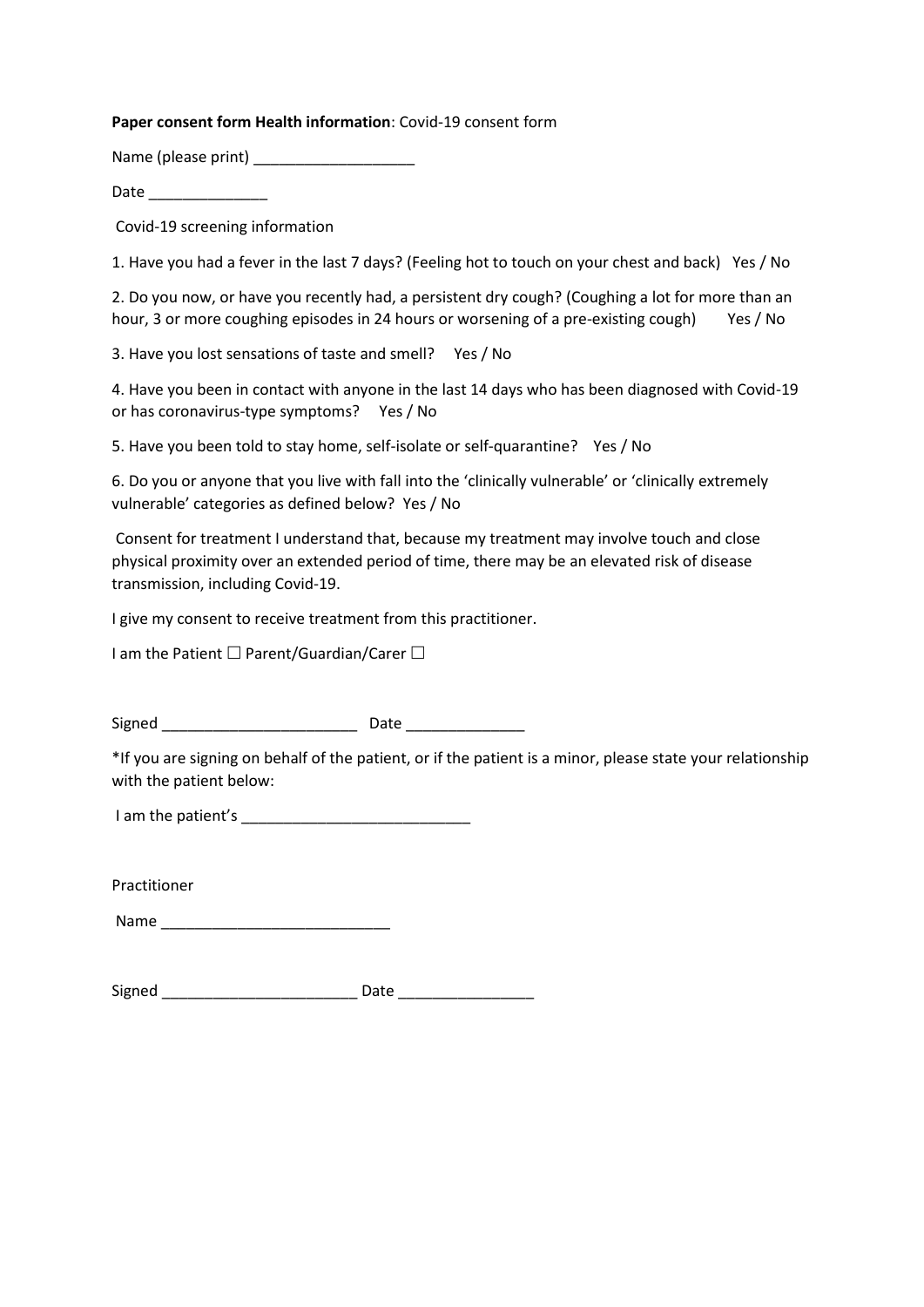#### **Paper consent form Health information**: Covid-19 consent form

Name (please print) \_\_\_\_\_\_\_\_\_\_\_\_\_\_\_\_\_\_\_\_\_\_\_

Date \_\_\_\_\_\_\_\_\_\_\_\_\_\_

Covid-19 screening information

1. Have you had a fever in the last 7 days? (Feeling hot to touch on your chest and back) Yes / No

2. Do you now, or have you recently had, a persistent dry cough? (Coughing a lot for more than an hour, 3 or more coughing episodes in 24 hours or worsening of a pre-existing cough) Yes / No

3. Have you lost sensations of taste and smell? Yes / No

4. Have you been in contact with anyone in the last 14 days who has been diagnosed with Covid-19 or has coronavirus-type symptoms? Yes / No

5. Have you been told to stay home, self-isolate or self-quarantine? Yes / No

6. Do you or anyone that you live with fall into the 'clinically vulnerable' or 'clinically extremely vulnerable' categories as defined below? Yes / No

Consent for treatment I understand that, because my treatment may involve touch and close physical proximity over an extended period of time, there may be an elevated risk of disease transmission, including Covid-19.

I give my consent to receive treatment from this practitioner.

I am the Patient  $\Box$  Parent/Guardian/Carer  $\Box$ 

Signed **Example 20** Date **Date** 20 Date 20 Date 20 Date 20 Date 20 Date 20 Date 20 Date 20 Date 20 Date 20 Date 20 Date 20 Date 20 Date 20 Date 20 Date 20 Date 20 Date 20 Date 20 Date 20 Date 20 Date 20 Date 20 Date 20 Dat

\*If you are signing on behalf of the patient, or if the patient is a minor, please state your relationship with the patient below:

I am the patient's \_\_\_\_\_\_\_\_\_\_\_\_\_\_\_\_\_\_\_\_\_\_\_\_\_\_\_

Practitioner

Name \_\_\_\_\_\_\_\_\_\_\_\_\_\_\_\_\_\_\_\_\_\_\_\_\_\_\_

Signed \_\_\_\_\_\_\_\_\_\_\_\_\_\_\_\_\_\_\_\_\_\_\_ Date \_\_\_\_\_\_\_\_\_\_\_\_\_\_\_\_